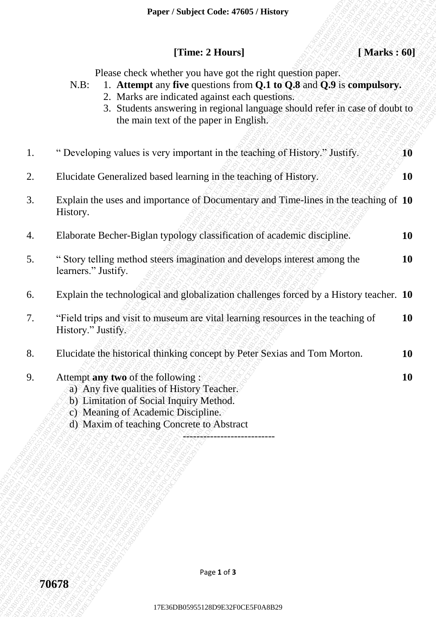## **[Time: 2 Hours] [ Marks : 60]**

- N.B: 1. **Attempt** any **five** questions from **Q.1 to Q.8** and **Q.9** is **compulsory.**
	- 2. Marks are indicated against each questions.
		- 3. Students answering in regional language should refer in case of doubt to the main text of the paper in English.

|    | Paper / Subject Code: 47605 / History                                                                                                                                                                                                                                                                                     |           |
|----|---------------------------------------------------------------------------------------------------------------------------------------------------------------------------------------------------------------------------------------------------------------------------------------------------------------------------|-----------|
|    | [Time: 2 Hours]<br>[Marks: 60]                                                                                                                                                                                                                                                                                            |           |
|    | Please check whether you have got the right question paper.<br>1. Attempt any five questions from Q.1 to Q.8 and Q.9 is compulsory.<br>$N.B$ :<br>2. Marks are indicated against each questions.<br>3. Students answering in regional language should refer in case of doubt to<br>the main text of the paper in English. |           |
| 1. | " Developing values is very important in the teaching of History." Justify.                                                                                                                                                                                                                                               | 10        |
| 2. | Elucidate Generalized based learning in the teaching of History.                                                                                                                                                                                                                                                          | <b>10</b> |
| 3. | Explain the uses and importance of Documentary and Time-lines in the teaching of 10<br>History.                                                                                                                                                                                                                           |           |
| 4. | Elaborate Becher-Biglan typology classification of academic discipline.                                                                                                                                                                                                                                                   | <b>10</b> |
| 5. | "Story telling method steers imagination and develops interest among the<br>learners." Justify.                                                                                                                                                                                                                           | <b>10</b> |
| 6. | Explain the technological and globalization challenges forced by a History teacher. 10                                                                                                                                                                                                                                    |           |
| 7. | "Field trips and visit to museum are vital learning resources in the teaching of<br>History." Justify.                                                                                                                                                                                                                    | <b>10</b> |
| 8. | Elucidate the historical thinking concept by Peter Sexias and Tom Morton.                                                                                                                                                                                                                                                 | <b>10</b> |
| 9. | Attempt any two of the following:<br>a) Any five qualities of History Teacher.<br>b) Limitation of Social Inquiry Method.<br>c) Meaning of Academic Discipline.<br>d) Maxim of teaching Concrete to Abstract                                                                                                              | <b>10</b> |
|    |                                                                                                                                                                                                                                                                                                                           |           |
|    |                                                                                                                                                                                                                                                                                                                           |           |
|    | Page 1 of 3                                                                                                                                                                                                                                                                                                               |           |
|    | 70678                                                                                                                                                                                                                                                                                                                     |           |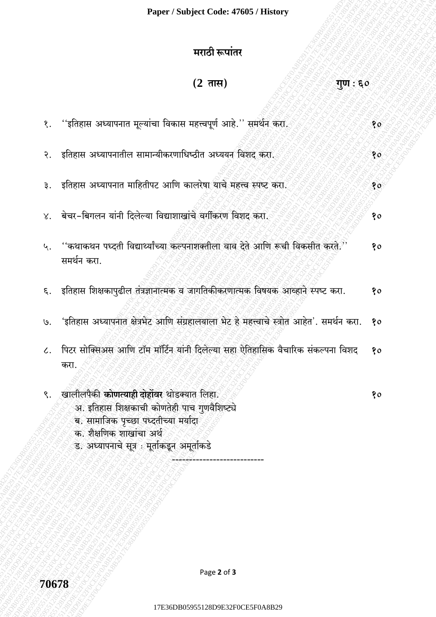## मराठी रूपांतर

| <u>(2</u> तास)<br>गूण : ६०                                                                                                                                                                                     |    |
|----------------------------------------------------------------------------------------------------------------------------------------------------------------------------------------------------------------|----|
| ''इतिहास अध्यापनात मूल्यांचा विकास महत्त्वपूर्ण आहे.'' समर्थन करा.                                                                                                                                             | 80 |
| इतिहास अध्यापनातील सामान्यीकरणाधिष्ठीत अध्ययन विशद् करा.                                                                                                                                                       | 80 |
| इतिहास अध्यापनात माहितीपट आणि कालरेषा याचे महत्त्व स्पष्ट करा.                                                                                                                                                 | 80 |
| बेचर-बिगलन यांनी दिलेल्या विद्याशाखांचे वर्गीकरण विशद करा.                                                                                                                                                     | 80 |
| ''कथाकथन पध्दती विद्यार्थ्यांच्या कल्पनाशक्तीला वाव देते आणि रूची विकसीत करते.''<br>समर्थन करा.                                                                                                                | 80 |
| इतिहास शिक्षकापुढील तंत्रज्ञानात्मक व जागतिकीकरणात्मक विषयक आव्हाने स्पष्ट करा.                                                                                                                                | 80 |
| 'इतिहास अध्यापनात क्षेत्रभेट आणि संग्रहालयाला भेट हे महत्त्वाचे स्त्रोत आहेत'. समर्थन करा.                                                                                                                     | 80 |
| पिटर सोक्सिअस आणि टॉम मॉर्टिन यांनी दिलेल्या सहा ऐतिहासिक वैचारिक संकल्पना विशद<br>करा.                                                                                                                        | 80 |
| खालीलपैकी कोणत्याही दोहोंवर थोडक्यात लिहा.<br>अ. इतिहास शिक्षकाची कोणतेही पाच गुणवैशिष्ट्ये<br>ब. सामाजिक पृच्छा पध्दतीच्या मर्यादा<br>क. शैक्षणिक शाखांचा अर्थ<br>ड. अध्यापनाचे सूत्र : मूर्ताकडून अमूर्ताकडे | १० |

70678

 $\overline{\xi}$ .

 $\ddot{\mathcal{S}}$ .

३.

 $\lambda$ .

५.

 $\epsilon$ .

 $\mathcal{G}.$ 

 $\mathcal{L}.$ 

९.

Page 2 of 3